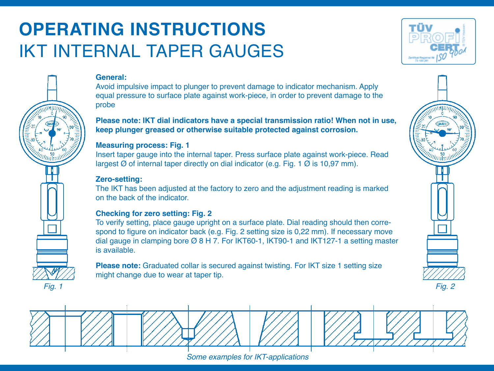# **OPERATING INSTRUCTIONS** IKT INTERNAL TAPER GAUGES



## **General:**

Avoid impulsive impact to plunger to prevent damage to indicator mechanism. Apply equal pressure to surface plate against work-piece, in order to prevent damage to the probe

**Please note: IKT dial indicators have a special transmission ratio! When not in use, keep plunger greased or otherwise suitable protected against corrosion.**

### **Measuring process: Fig. 1**

Insert taper gauge into the internal taper. Press surface plate against work-piece. Read largest Ø of internal taper directly on dial indicator (e.g. Fig. 1 Ø is 10,97 mm).

#### **Zero-setting:**

The IKT has been adjusted at the factory to zero and the adjustment reading is marked on the back of the indicator.

## **Checking for zero setting: Fig. 2**

To verify setting, place gauge upright on a surface plate. Dial reading should then correspond to figure on indicator back (e.g. Fig. 2 setting size is 0,22 mm). If necessary move dial gauge in clamping bore Ø 8 H 7. For IKT60-1, IKT90-1 and IKT127-1 a setting master is available.

**Please note:** Graduated collar is secured against twisting. For IKT size 1 setting size might change due to wear at taper tip.